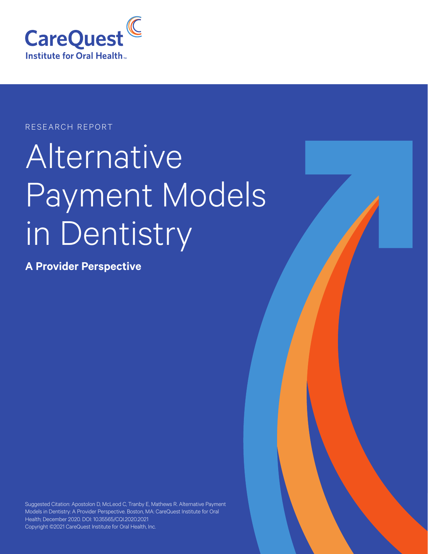

### RESEARCH REPORT

# Alternative Payment Models in Dentistry

**A Provider Perspective**

Suggested Citation: Apostolon D, McLeod C, Tranby E, Mathews R. Alternative Payment Models in Dentistry: A Provider Perspective. Boston, MA: CareQuest Institute for Oral Health; December 2020. DOI: 10.35565/CQI.2020.2021 Copyright ©2021 CareQuest Institute for Oral Health, Inc.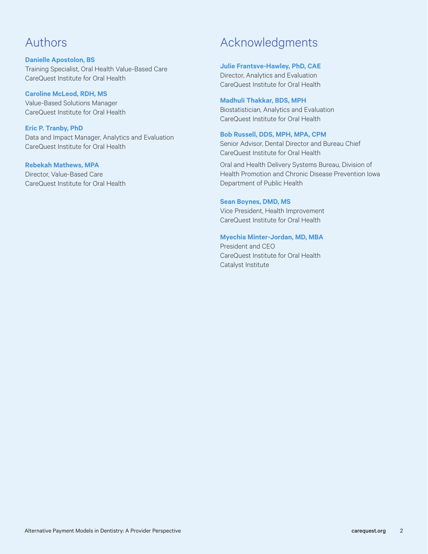### Authors

### **Danielle Apostolon, BS** Training Specialist, Oral Health Value-Based Care CareQuest Institute for Oral Health

**Caroline McLeod, RDH, MS** Value-Based Solutions Manager CareQuest Institute for Oral Health

### **Eric P. Tranby, PhD**

Data and Impact Manager, Analytics and Evaluation CareQuest Institute for Oral Health

### **Rebekah Mathews, MPA**

Director, Value-Based Care CareQuest Institute for Oral Health

### Acknowledgments

#### **Julie Frantsve-Hawley, PhD, CAE**

Director, Analytics and Evaluation CareQuest Institute for Oral Health

#### **Madhuli Thakkar, BDS, MPH**

Biostatistician, Analytics and Evaluation CareQuest Institute for Oral Health

#### **Bob Russell, DDS, MPH, MPA, CPM**

Senior Advisor, Dental Director and Bureau Chief CareQuest Institute for Oral Health

Oral and Health Delivery Systems Bureau, Division of Health Promotion and Chronic Disease Prevention Iowa Department of Public Health

#### **Sean Boynes, DMD, MS**

Vice President, Health Improvement CareQuest Institute for Oral Health

#### **Myechia Minter-Jordan, MD, MBA**

President and CEO CareQuest Institute for Oral Health Catalyst Institute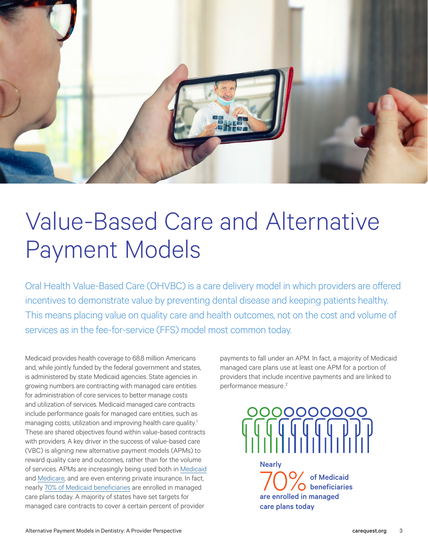

### Value-Based Care and Alternative Payment Models

Oral Health Value-Based Care (OHVBC) is a care delivery model in which providers are offered incentives to demonstrate value by preventing dental disease and keeping patients healthy. This means placing value on quality care and health outcomes, not on the cost and volume of services as in the fee-for-service (FFS) model most common today.

Medicaid provides health coverage to 68.8 million Americans and, while jointly funded by the federal government and states, is administered by state Medicaid agencies. State agencies in growing numbers are contracting with managed care entities for administration of core services to better manage costs and utilization of services. Medicaid managed care contracts include performance goals for managed care entities, such as managing costs, utilization and improving health care quality.<sup>1</sup> These are shared objectives found within value-based contracts with providers. A key driver in the success of value-based care (VBC) is aligning new alternative payment models (APMs) to reward quality care and outcomes, rather than for the volume of services. APMs are increasingly being used both in [Medicaid](https://www.kff.org/medicaid/issue-brief/10-things-to-know-about-medicaid-managed-care/) and [Medicare](https://www.healthaffairs.org/do/10.1377/hblog20191020.962600/full/), and are even entering private insurance. In fact, nearly [70% of Medicaid beneficiaries](https://www.kff.org/medicaid/issue-brief/10-things-to-know-about-medicaid-managed-care/) are enrolled in managed care plans today. A majority of states have set targets for managed care contracts to cover a certain percent of provider

payments to fall under an APM. In fact, a majority of Medicaid managed care plans use at least one APM for a portion of providers that include incentive payments and are linked to performance measure .2



are enrolled in managed care plans today Wearly<br> **70%** of Medicaid<br>
one appelled in managed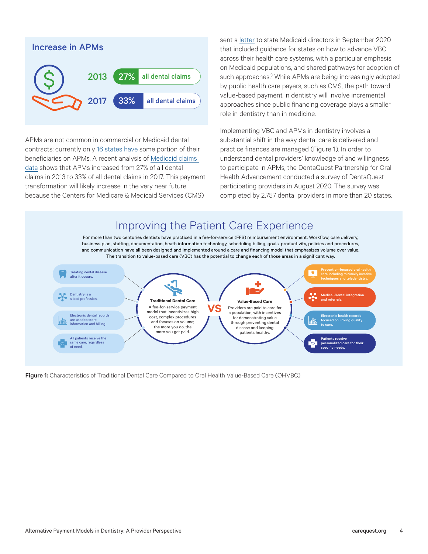

APMs are not common in commercial or Medicaid dental contracts; currently only [16 states have](https://www.ada.org/en/public-programs/action-for-dental-health/strengthening-the-dental-safety-net/medicaid-managed-care) some portion of their beneficiaries on APMs. A recent analysis of [Medicaid claims](https://decisionsindentistry.com/article/exploring-alternative-payment-models-oral-health-care/)  [data](https://decisionsindentistry.com/article/exploring-alternative-payment-models-oral-health-care/) shows that APMs increased from 27% of all dental claims in 2013 to 33% of all dental claims in 2017. This payment transformation will likely increase in the very near future because the Centers for Medicare & Medicaid Services (CMS)

sent a [letter](https://www.cms.gov/newsroom/fact-sheets/value-based-care-state-medicaid-directors-letter) to state Medicaid directors in September 2020 that included guidance for states on how to advance VBC across their health care systems, with a particular emphasis on Medicaid populations, and shared pathways for adoption of such approaches.<sup>3</sup> While APMs are being increasingly adopted by public health care payers, such as CMS, the path toward value-based payment in dentistry will involve incremental approaches since public financing coverage plays a smaller role in dentistry than in medicine.

Implementing VBC and APMs in dentistry involves a substantial shift in the way dental care is delivered and practice finances are managed (Figure 1). In order to understand dental providers' knowledge of and willingness to participate in APMs, the DentaQuest Partnership for Oral Health Advancement conducted a survey of DentaQuest participating providers in August 2020. The survey was completed by 2,757 dental providers in more than 20 states.



Figure 1: Characteristics of Traditional Dental Care Compared to Oral Health Value-Based Care (OHVBC)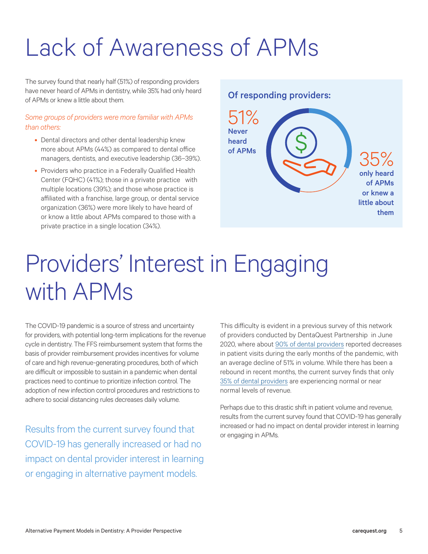## Lack of Awareness of APMs

The survey found that nearly half (51%) of responding providers have never heard of APMs in dentistry, while 35% had only heard of APMs or knew a little about them.

### *Some groups of providers were more familiar with APMs than others:*

- Dental directors and other dental leadership knew more about APMs (44%) as compared to dental office managers, dentists, and executive leadership (36–39%).
- Providers who practice in a Federally Qualified Health Center (FQHC) (41%); those in a private practice with multiple locations (39%); and those whose practice is affiliated with a franchise, large group, or dental service organization (36%) were more likely to have heard of or know a little about APMs compared to those with a private practice in a single location (34%).

### Of responding providers:



### Providers' Interest in Engaging with APMs

The COVID-19 pandemic is a source of stress and uncertainty for providers, with potential long-term implications for the revenue cycle in dentistry. The FFS reimbursement system that forms the basis of provider reimbursement provides incentives for volume of care and high revenue-generating procedures, both of which are difficult or impossible to sustain in a pandemic when dental practices need to continue to prioritize infection control. The adoption of new infection control procedures and restrictions to adhere to social distancing rules decreases daily volume.

Results from the current survey found that COVID-19 has generally increased or had no impact on dental provider interest in learning or engaging in alternative payment models.

This difficulty is evident in a previous survey of this network of providers conducted by DentaQuest Partnership in June 2020, where about [90% of dental providers](https://www.dentaquestpartnership.org/learn/online-learning-center/resource-library/dental-cares-new-normal-provider-survey-reveals-need-0) reported decreases in patient visits during the early months of the pandemic, with an average decline of 51% in volume. While there has been a rebound in recent months, the current survey finds that only [35% of dental providers](https://www.dentaquestpartnership.org/difficult-path-covid-19-recovery) are experiencing normal or near normal levels of revenue.

Perhaps due to this drastic shift in patient volume and revenue, results from the current survey found that COVID-19 has generally increased or had no impact on dental provider interest in learning or engaging in APMs.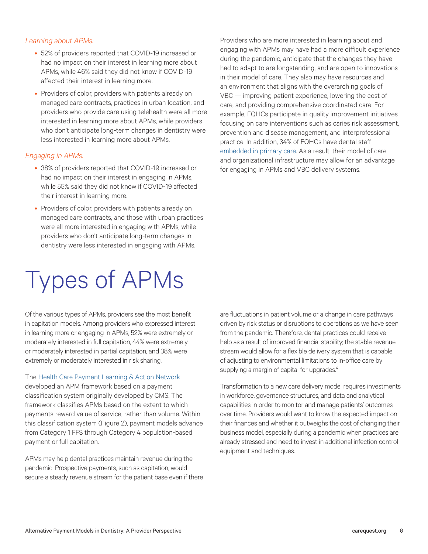### *Learning about APMs:*

- 52% of providers reported that COVID-19 increased or had no impact on their interest in learning more about APMs, while 46% said they did not know if COVID-19 affected their interest in learning more.
- Providers of color, providers with patients already on managed care contracts, practices in urban location, and providers who provide care using telehealth were all more interested in learning more about APMs, while providers who don't anticipate long-term changes in dentistry were less interested in learning more about APMs.

### *Engaging in APMs:*

- 38% of providers reported that COVID-19 increased or had no impact on their interest in engaging in APMs, while 55% said they did not know if COVID-19 affected their interest in learning more.
- Providers of color, providers with patients already on managed care contracts, and those with urban practices were all more interested in engaging with APMs, while providers who don't anticipate long-term changes in dentistry were less interested in engaging with APMs.

### Types of APMs

Of the various types of APMs, providers see the most benefit in capitation models. Among providers who expressed interest in learning more or engaging in APMs, 52% were extremely or moderately interested in full capitation, 44% were extremely or moderately interested in partial capitation, and 38% were extremely or moderately interested in risk sharing.

The [Health Care Payment Learning & Action Network](https://hcp-lan.org/apm-refresh-white-paper/)

developed an APM framework based on a payment classification system originally developed by CMS. The framework classifies APMs based on the extent to which payments reward value of service, rather than volume. Within this classification system (Figure 2), payment models advance from Category 1 FFS through Category 4 population-based payment or full capitation.

APMs may help dental practices maintain revenue during the pandemic. Prospective payments, such as capitation, would secure a steady revenue stream for the patient base even if there Providers who are more interested in learning about and engaging with APMs may have had a more difficult experience during the pandemic, anticipate that the changes they have had to adapt to are longstanding, and are open to innovations in their model of care. They also may have resources and an environment that aligns with the overarching goals of VBC — improving patient experience, lowering the cost of care, and providing comprehensive coordinated care. For example, FQHCs participate in quality improvement initiatives focusing on care interventions such as caries risk assessment, prevention and disease management, and interprofessional practice. In addition, 34% of FQHCs have dental staff [embedded in primary care.](https://nnoha.org/download/integrated-care-models-survey-results-embedded-dental-providers/) As a result, their model of care and organizational infrastructure may allow for an advantage for engaging in APMs and VBC delivery systems.

are fluctuations in patient volume or a change in care pathways driven by risk status or disruptions to operations as we have seen from the pandemic. Therefore, dental practices could receive help as a result of improved financial stability; the stable revenue stream would allow for a flexible delivery system that is capable of adjusting to environmental limitations to in-office care by supplying a margin of capital for upgrades.<sup>4</sup>

Transformation to a new care delivery model requires investments in workforce, governance structures, and data and analytical capabilities in order to monitor and manage patients' outcomes over time. Providers would want to know the expected impact on their finances and whether it outweighs the cost of changing their business model, especially during a pandemic when practices are already stressed and need to invest in additional infection control equipment and techniques.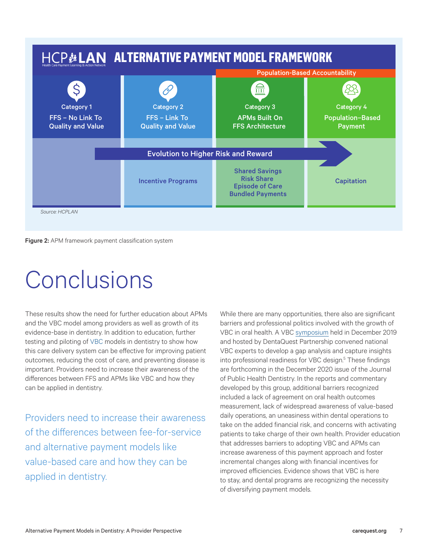

Figure 2: APM framework payment classification system

### Conclusions

These results show the need for further education about APMs and the VBC model among providers as well as growth of its evidence-base in dentistry. In addition to education, further testing and piloting of VBC models in dentistry to show how this care delivery system can be effective for improving patient outcomes, reducing the cost of care, and preventing disease is important. Providers need to increase their awareness of the differences between FFS and APMs like VBC and how they can be applied in dentistry.

Providers need to increase their awareness of the differences between fee-for-service and alternative payment models like value-based care and how they can be applied in dentistry.

While there are many opportunities, there also are significant barriers and professional politics involved with the growth of VBC in oral health. A VBC [symposium](https://onlinelibrary.wiley.com/doi/10.1111/jphd.12395) held in December 2019 and hosted by DentaQuest Partnership convened national VBC experts to develop a gap analysis and capture insights into professional readiness for VBC design.<sup>5</sup> These findings are forthcoming in the December 2020 issue of the Journal of Public Health Dentistry. In the reports and commentary developed by this group, additional barriers recognized included a lack of agreement on oral health outcomes measurement, lack of widespread awareness of value-based daily operations, an uneasiness within dental operations to take on the added financial risk, and concerns with activating patients to take charge of their own health. Provider education that addresses barriers to adopting VBC and APMs can increase awareness of this payment approach and foster incremental changes along with financial incentives for improved efficiencies. Evidence shows that VBC is here to stay, and dental programs are recognizing the necessity of diversifying payment models.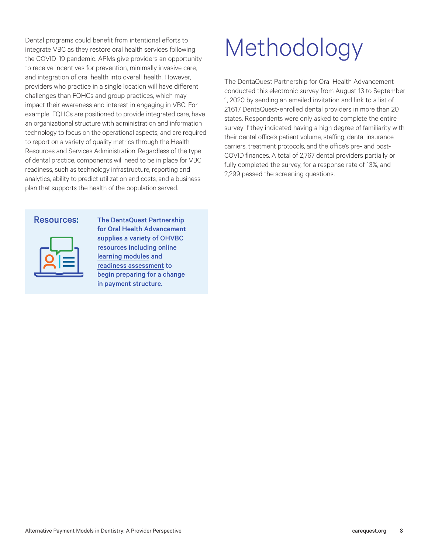Dental programs could benefit from intentional efforts to integrate VBC as they restore oral health services following the COVID-19 pandemic. APMs give providers an opportunity to receive incentives for prevention, minimally invasive care, and integration of oral health into overall health. However, providers who practice in a single location will have different challenges than FQHCs and group practices, which may impact their awareness and interest in engaging in VBC. For example, FQHCs are positioned to provide integrated care, have an organizational structure with administration and information technology to focus on the operational aspects, and are required to report on a variety of quality metrics through the Health Resources and Services Administration. Regardless of the type of dental practice, components will need to be in place for VBC readiness, such as technology infrastructure, reporting and analytics, ability to predict utilization and costs, and a business plan that supports the health of the population served.



Resources: The DentaQuest Partnership for Oral Health Advancement supplies a variety of OHVBC resources including online [learning modules](https://www.dentaquestpartnership.org/learn/online-learning-center/online-courseware/oral-health-value-based-care-series) and [readiness assessment]( https://www.dentaquestpartnership.org/learn/safety-net-solutions/oral-health-value-based-care/ohvbc-readiness-assessment) to begin preparing for a change in payment structure.

## Methodology

The DentaQuest Partnership for Oral Health Advancement conducted this electronic survey from August 13 to September 1, 2020 by sending an emailed invitation and link to a list of 21,617 DentaQuest-enrolled dental providers in more than 20 states. Respondents were only asked to complete the entire survey if they indicated having a high degree of familiarity with their dental office's patient volume, staffing, dental insurance carriers, treatment protocols, and the office's pre- and post-COVID finances. A total of 2,767 dental providers partially or fully completed the survey, for a response rate of 13%, and 2,299 passed the screening questions.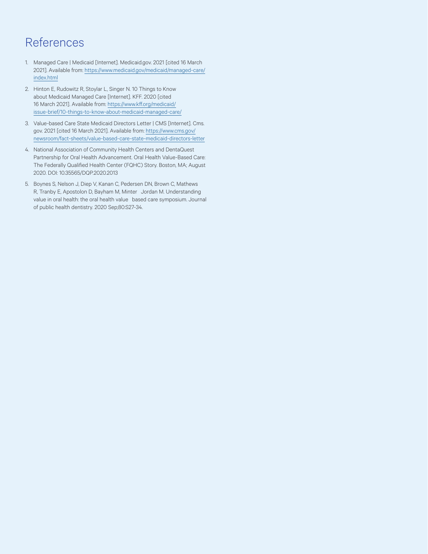### References

- 1. Managed Care | Medicaid [Internet]. Medicaid.gov. 2021 [cited 16 March 2021]. Available from: https://www.medicaid.gov/medicaid/managed-care/ index.html
- 2. Hinton E, Rudowitz R, Stoylar L, Singer N. 10 Things to Know about Medicaid Managed Care [Internet]. KFF. 2020 [cited 16 March 2021]. Available from: [https://www.kff.org/medicaid/](https://www.kff.org/medicaid/issue-brief/10-things-to-know-about-medicaid-managed-care/) [issue-brief/10-things-to-know-about-medicaid-managed-care/](https://www.kff.org/medicaid/issue-brief/10-things-to-know-about-medicaid-managed-care/)
- 3. Value-based Care State Medicaid Directors Letter | CMS [Internet]. Cms. gov. 2021 [cited 16 March 2021]. Available from: [https://www.cms.gov/](https://www.cms.gov/newsroom/fact-sheets/value-based-care-state-medicaid-directors-letter
) [newsroom/fact-sheets/value-based-care-state-medicaid-directors-letter](https://www.cms.gov/newsroom/fact-sheets/value-based-care-state-medicaid-directors-letter
)
- 4. National Association of Community Health Centers and DentaQuest Partnership for Oral Health Advancement. Oral Health Value-Based Care: The Federally Qualified Health Center (FQHC) Story. Boston, MA; August 2020. DOI: 10.35565/DQP.2020.2013
- 5. Boynes S, Nelson J, Diep V, Kanan C, Pedersen DN, Brown C, Mathews R, Tranby E, Apostolon D, Bayham M, Minter Jordan M. Understanding value in oral health: the oral health value based care symposium. Journal of public health dentistry. 2020 Sep;80:S27-34.